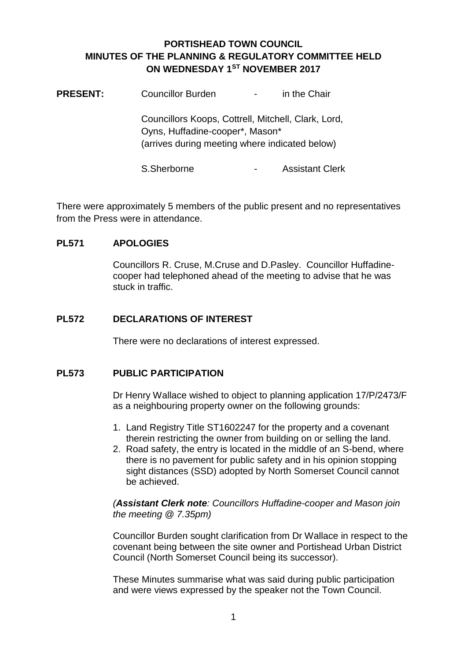## **PORTISHEAD TOWN COUNCIL MINUTES OF THE PLANNING & REGULATORY COMMITTEE HELD ON WEDNESDAY 1ST NOVEMBER 2017**

| <b>PRESENT:</b> | <b>Councillor Burden</b>                                                                                                                 | in the Chair<br>$\overline{\phantom{a}}$ |  |
|-----------------|------------------------------------------------------------------------------------------------------------------------------------------|------------------------------------------|--|
|                 | Councillors Koops, Cottrell, Mitchell, Clark, Lord,<br>Oyns, Huffadine-cooper*, Mason*<br>(arrives during meeting where indicated below) |                                          |  |
|                 | S.Sherborne                                                                                                                              | <b>Assistant Clerk</b>                   |  |

There were approximately 5 members of the public present and no representatives from the Press were in attendance.

## **PL571 APOLOGIES**

Councillors R. Cruse, M.Cruse and D.Pasley. Councillor Huffadinecooper had telephoned ahead of the meeting to advise that he was stuck in traffic.

## **PL572 DECLARATIONS OF INTEREST**

There were no declarations of interest expressed.

## **PL573 PUBLIC PARTICIPATION**

Dr Henry Wallace wished to object to planning application 17/P/2473/F as a neighbouring property owner on the following grounds:

- 1. Land Registry Title ST1602247 for the property and a covenant therein restricting the owner from building on or selling the land.
- 2. Road safety, the entry is located in the middle of an S-bend, where there is no pavement for public safety and in his opinion stopping sight distances (SSD) adopted by North Somerset Council cannot be achieved.

*(Assistant Clerk note: Councillors Huffadine-cooper and Mason join the meeting @ 7.35pm)*

Councillor Burden sought clarification from Dr Wallace in respect to the covenant being between the site owner and Portishead Urban District Council (North Somerset Council being its successor).

These Minutes summarise what was said during public participation and were views expressed by the speaker not the Town Council.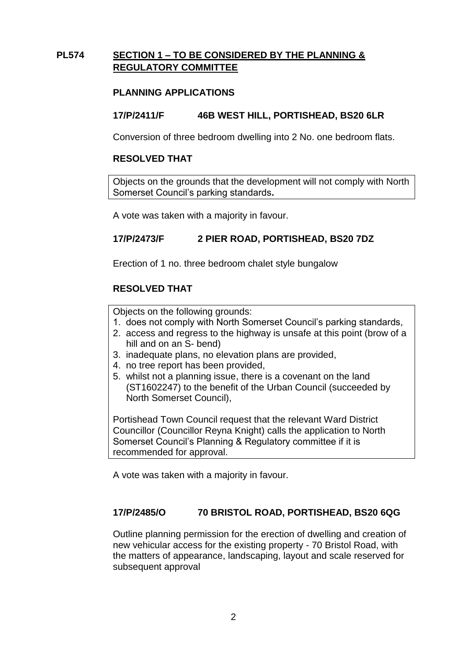## **PL574 SECTION 1 – TO BE CONSIDERED BY THE PLANNING & REGULATORY COMMITTEE**

## **PLANNING APPLICATIONS**

#### **17/P/2411/F 46B WEST HILL, PORTISHEAD, BS20 6LR**

Conversion of three bedroom dwelling into 2 No. one bedroom flats.

#### **RESOLVED THAT**

Objects on the grounds that the development will not comply with North Somerset Council's parking standards**.**

A vote was taken with a majority in favour.

#### **17/P/2473/F 2 PIER ROAD, PORTISHEAD, BS20 7DZ**

Erection of 1 no. three bedroom chalet style bungalow

#### **RESOLVED THAT**

Objects on the following grounds:

- 1. does not comply with North Somerset Council's parking standards,
- 2. access and regress to the highway is unsafe at this point (brow of a hill and on an S- bend)
- 3. inadequate plans, no elevation plans are provided,
- 4. no tree report has been provided,
- 5. whilst not a planning issue, there is a covenant on the land (ST1602247) to the benefit of the Urban Council (succeeded by North Somerset Council),

Portishead Town Council request that the relevant Ward District Councillor (Councillor Reyna Knight) calls the application to North Somerset Council's Planning & Regulatory committee if it is recommended for approval.

A vote was taken with a majority in favour.

#### **17/P/2485/O 70 BRISTOL ROAD, PORTISHEAD, BS20 6QG**

Outline planning permission for the erection of dwelling and creation of new vehicular access for the existing property - 70 Bristol Road, with the matters of appearance, landscaping, layout and scale reserved for subsequent approval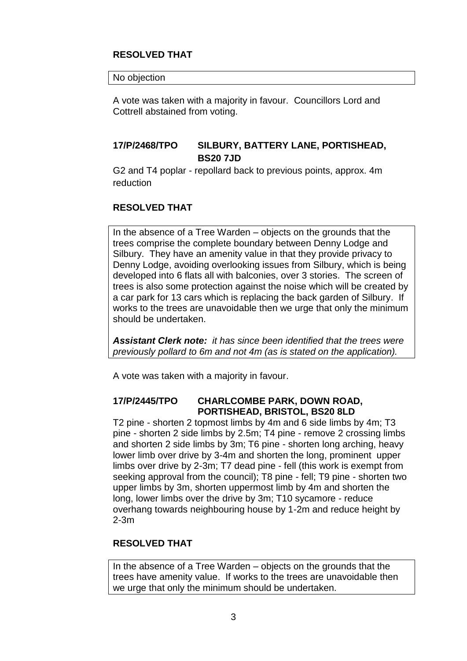## **RESOLVED THAT**

#### No objection

A vote was taken with a majority in favour. Councillors Lord and Cottrell abstained from voting.

## **17/P/2468/TPO SILBURY, BATTERY LANE, PORTISHEAD, BS20 7JD**

G2 and T4 poplar - repollard back to previous points, approx. 4m reduction

## **RESOLVED THAT**

In the absence of a Tree Warden – objects on the grounds that the trees comprise the complete boundary between Denny Lodge and Silbury. They have an amenity value in that they provide privacy to Denny Lodge, avoiding overlooking issues from Silbury, which is being developed into 6 flats all with balconies, over 3 stories. The screen of trees is also some protection against the noise which will be created by a car park for 13 cars which is replacing the back garden of Silbury. If works to the trees are unavoidable then we urge that only the minimum should be undertaken.

*Assistant Clerk note: it has since been identified that the trees were previously pollard to 6m and not 4m (as is stated on the application).*

A vote was taken with a majority in favour.

## **17/P/2445/TPO CHARLCOMBE PARK, DOWN ROAD, PORTISHEAD, BRISTOL, BS20 8LD**

T2 pine - shorten 2 topmost limbs by 4m and 6 side limbs by 4m; T3 pine - shorten 2 side limbs by 2.5m; T4 pine - remove 2 crossing limbs and shorten 2 side limbs by 3m; T6 pine - shorten long arching, heavy lower limb over drive by 3-4m and shorten the long, prominent upper limbs over drive by 2-3m; T7 dead pine - fell (this work is exempt from seeking approval from the council); T8 pine - fell; T9 pine - shorten two upper limbs by 3m, shorten uppermost limb by 4m and shorten the long, lower limbs over the drive by 3m; T10 sycamore - reduce overhang towards neighbouring house by 1-2m and reduce height by 2-3m

#### **RESOLVED THAT**

In the absence of a Tree Warden – objects on the grounds that the trees have amenity value. If works to the trees are unavoidable then we urge that only the minimum should be undertaken.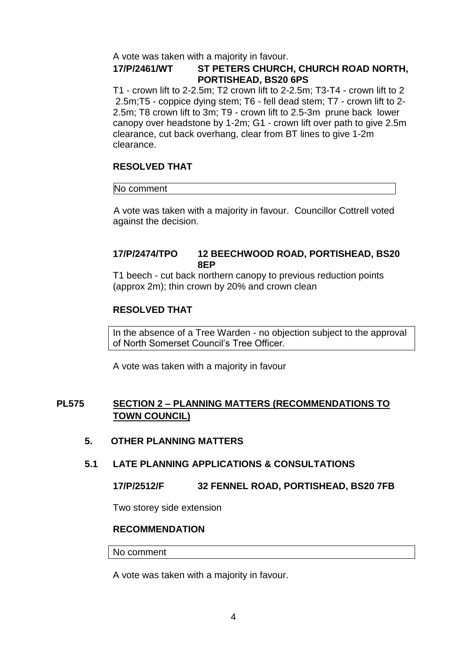A vote was taken with a majority in favour.

#### **17/P/2461/WT ST PETERS CHURCH, CHURCH ROAD NORTH, PORTISHEAD, BS20 6PS**

T1 - crown lift to 2-2.5m; T2 crown lift to 2-2.5m; T3-T4 - crown lift to 2 2.5m;T5 - coppice dying stem; T6 - fell dead stem; T7 - crown lift to 2- 2.5m; T8 crown lift to 3m; T9 - crown lift to 2.5-3m prune back lower canopy over headstone by 1-2m; G1 - crown lift over path to give 2.5m clearance, cut back overhang, clear from BT lines to give 1-2m clearance.

## **RESOLVED THAT**

#### No comment

 A vote was taken with a majority in favour. Councillor Cottrell voted against the decision.

#### **17/P/2474/TPO 12 BEECHWOOD ROAD, PORTISHEAD, BS20 8EP**

T1 beech - cut back northern canopy to previous reduction points (approx 2m); thin crown by 20% and crown clean

## **RESOLVED THAT**

In the absence of a Tree Warden - no objection subject to the approval of North Somerset Council's Tree Officer.

A vote was taken with a majority in favour

## **PL575 SECTION 2 – PLANNING MATTERS (RECOMMENDATIONS TO TOWN COUNCIL)**

#### **5. OTHER PLANNING MATTERS**

#### **5.1 LATE PLANNING APPLICATIONS & CONSULTATIONS**

#### **17/P/2512/F 32 FENNEL ROAD, PORTISHEAD, BS20 7FB**

Two storey side extension

#### **RECOMMENDATION**

#### No comment

A vote was taken with a majority in favour.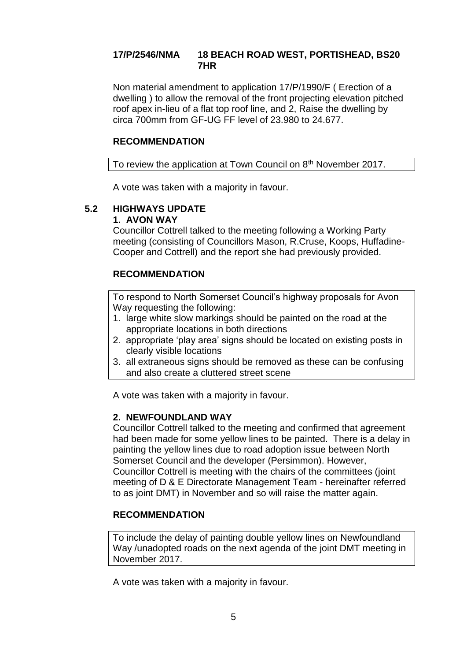## **17/P/2546/NMA 18 BEACH ROAD WEST, PORTISHEAD, BS20 7HR**

Non material amendment to application 17/P/1990/F ( Erection of a dwelling ) to allow the removal of the front projecting elevation pitched roof apex in-lieu of a flat top roof line, and 2, Raise the dwelling by circa 700mm from GF-UG FF level of 23.980 to 24.677.

#### **RECOMMENDATION**

To review the application at Town Council on 8<sup>th</sup> November 2017.

A vote was taken with a majority in favour.

# **5.2 HIGHWAYS UPDATE**

## **1. AVON WAY**

Councillor Cottrell talked to the meeting following a Working Party meeting (consisting of Councillors Mason, R.Cruse, Koops, Huffadine-Cooper and Cottrell) and the report she had previously provided.

## **RECOMMENDATION**

To respond to North Somerset Council's highway proposals for Avon Way requesting the following:

- 1. large white slow markings should be painted on the road at the appropriate locations in both directions
- 2. appropriate 'play area' signs should be located on existing posts in clearly visible locations
- 3. all extraneous signs should be removed as these can be confusing and also create a cluttered street scene

A vote was taken with a majority in favour.

## **2. NEWFOUNDLAND WAY**

Councillor Cottrell talked to the meeting and confirmed that agreement had been made for some yellow lines to be painted. There is a delay in painting the yellow lines due to road adoption issue between North Somerset Council and the developer (Persimmon). However, Councillor Cottrell is meeting with the chairs of the committees (joint meeting of D & E Directorate Management Team - hereinafter referred to as joint DMT) in November and so will raise the matter again.

## **RECOMMENDATION**

To include the delay of painting double yellow lines on Newfoundland Way /unadopted roads on the next agenda of the joint DMT meeting in November 2017.

A vote was taken with a majority in favour.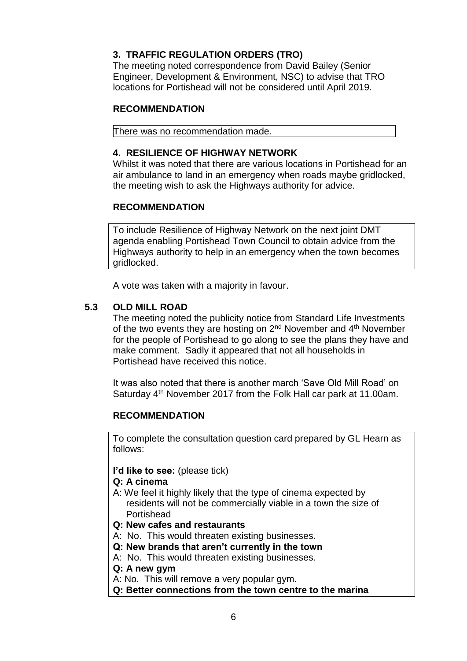## **3. TRAFFIC REGULATION ORDERS (TRO)**

The meeting noted correspondence from David Bailey (Senior Engineer, Development & Environment, NSC) to advise that TRO locations for Portishead will not be considered until April 2019.

## **RECOMMENDATION**

There was no recommendation made.

## **4. RESILIENCE OF HIGHWAY NETWORK**

Whilst it was noted that there are various locations in Portishead for an air ambulance to land in an emergency when roads maybe gridlocked, the meeting wish to ask the Highways authority for advice.

## **RECOMMENDATION**

To include Resilience of Highway Network on the next joint DMT agenda enabling Portishead Town Council to obtain advice from the Highways authority to help in an emergency when the town becomes gridlocked.

A vote was taken with a majority in favour.

## **5.3 OLD MILL ROAD**

The meeting noted the publicity notice from Standard Life Investments of the two events they are hosting on  $2<sup>nd</sup>$  November and  $4<sup>th</sup>$  November for the people of Portishead to go along to see the plans they have and make comment. Sadly it appeared that not all households in Portishead have received this notice.

It was also noted that there is another march 'Save Old Mill Road' on Saturday 4<sup>th</sup> November 2017 from the Folk Hall car park at 11.00am.

#### **RECOMMENDATION**

To complete the consultation question card prepared by GL Hearn as follows:

#### **I'd like to see:** (please tick)

#### **Q: A cinema**

- A: We feel it highly likely that the type of cinema expected by residents will not be commercially viable in a town the size of **Portishead**
- **Q: New cafes and restaurants**
- A: No. This would threaten existing businesses.
- **Q: New brands that aren't currently in the town**
- A: No. This would threaten existing businesses.
- **Q: A new gym**
- A: No. This will remove a very popular gym.
- **Q: Better connections from the town centre to the marina**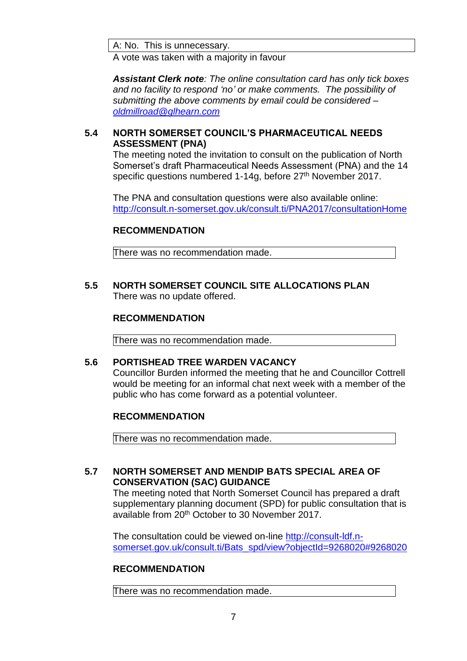A: No. This is unnecessary.

A vote was taken with a majority in favour

*Assistant Clerk note: The online consultation card has only tick boxes and no facility to respond 'no' or make comments. The possibility of submitting the above comments by email could be considered – [oldmillroad@glhearn.com](mailto:oldmillroad@glhearn.com)*

#### **5.4 NORTH SOMERSET COUNCIL'S PHARMACEUTICAL NEEDS ASSESSMENT (PNA)**

The meeting noted the invitation to consult on the publication of North Somerset's draft Pharmaceutical Needs Assessment (PNA) and the 14 specific questions numbered 1-14g, before 27<sup>th</sup> November 2017.

The PNA and consultation questions were also available online: <http://consult.n-somerset.gov.uk/consult.ti/PNA2017/consultationHome>

## **RECOMMENDATION**

There was no recommendation made.

**5.5 NORTH SOMERSET COUNCIL SITE ALLOCATIONS PLAN** There was no update offered.

#### **RECOMMENDATION**

There was no recommendation made.

#### **5.6 PORTISHEAD TREE WARDEN VACANCY**

Councillor Burden informed the meeting that he and Councillor Cottrell would be meeting for an informal chat next week with a member of the public who has come forward as a potential volunteer.

#### **RECOMMENDATION**

There was no recommendation made.

## **5.7 NORTH SOMERSET AND MENDIP BATS SPECIAL AREA OF CONSERVATION (SAC) GUIDANCE**

The meeting noted that North Somerset Council has prepared a draft supplementary planning document (SPD) for public consultation that is available from 20<sup>th</sup> October to 30 November 2017.

The consultation could be viewed on-line [http://consult-ldf.n](http://consult-ldf.n-somerset.gov.uk/consult.ti/Bats_spd/view?objectId=9268020#9268020)[somerset.gov.uk/consult.ti/Bats\\_spd/view?objectId=9268020#9268020](http://consult-ldf.n-somerset.gov.uk/consult.ti/Bats_spd/view?objectId=9268020#9268020)

#### **RECOMMENDATION**

There was no recommendation made.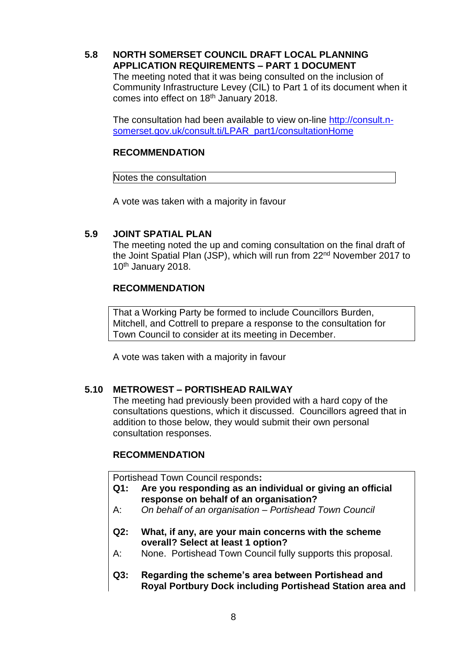## **5.8 NORTH SOMERSET COUNCIL DRAFT LOCAL PLANNING APPLICATION REQUIREMENTS – PART 1 DOCUMENT**

The meeting noted that it was being consulted on the inclusion of Community Infrastructure Levey (CIL) to Part 1 of its document when it comes into effect on 18<sup>th</sup> January 2018.

The consultation had been available to view on-line [http://consult.n](http://consult.n-somerset.gov.uk/consult.ti/LPAR_part1/consultationHome)[somerset.gov.uk/consult.ti/LPAR\\_part1/consultationHome](http://consult.n-somerset.gov.uk/consult.ti/LPAR_part1/consultationHome)

#### **RECOMMENDATION**

Notes the consultation

A vote was taken with a majority in favour

#### **5.9 JOINT SPATIAL PLAN**

The meeting noted the up and coming consultation on the final draft of the Joint Spatial Plan (JSP), which will run from 22<sup>nd</sup> November 2017 to 10<sup>th</sup> January 2018.

## **RECOMMENDATION**

That a Working Party be formed to include Councillors Burden, Mitchell, and Cottrell to prepare a response to the consultation for Town Council to consider at its meeting in December.

A vote was taken with a majority in favour

#### **5.10 METROWEST – PORTISHEAD RAILWAY**

The meeting had previously been provided with a hard copy of the consultations questions, which it discussed. Councillors agreed that in addition to those below, they would submit their own personal consultation responses.

#### **RECOMMENDATION**

Portishead Town Council responds**:**

- **Q1: Are you responding as an individual or giving an official response on behalf of an organisation?**
- A: *On behalf of an organisation – Portishead Town Council*
- **Q2: What, if any, are your main concerns with the scheme overall? Select at least 1 option?**
- A: None. Portishead Town Council fully supports this proposal.
- **Q3: Regarding the scheme's area between Portishead and Royal Portbury Dock including Portishead Station area and**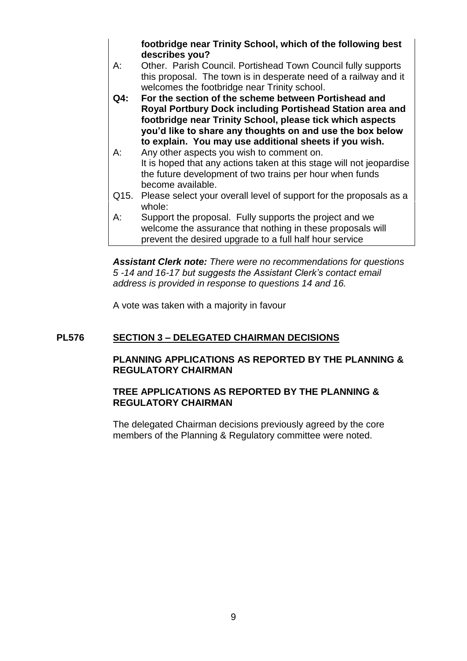**footbridge near Trinity School, which of the following best describes you?**

- A: Other. Parish Council. Portishead Town Council fully supports this proposal. The town is in desperate need of a railway and it welcomes the footbridge near Trinity school.
- **Q4: For the section of the scheme between Portishead and Royal Portbury Dock including Portishead Station area and footbridge near Trinity School, please tick which aspects you'd like to share any thoughts on and use the box below to explain. You may use additional sheets if you wish.**
- A: Any other aspects you wish to comment on. It is hoped that any actions taken at this stage will not jeopardise the future development of two trains per hour when funds become available.
- Q15. Please select your overall level of support for the proposals as a whole:
- A: Support the proposal. Fully supports the project and we welcome the assurance that nothing in these proposals will prevent the desired upgrade to a full half hour service

*Assistant Clerk note: There were no recommendations for questions 5 -14 and 16-17 but suggests the Assistant Clerk's contact email address is provided in response to questions 14 and 16.* 

A vote was taken with a majority in favour

## **PL576 SECTION 3 – DELEGATED CHAIRMAN DECISIONS**

## **PLANNING APPLICATIONS AS REPORTED BY THE PLANNING & REGULATORY CHAIRMAN**

## **TREE APPLICATIONS AS REPORTED BY THE PLANNING & REGULATORY CHAIRMAN**

The delegated Chairman decisions previously agreed by the core members of the Planning & Regulatory committee were noted.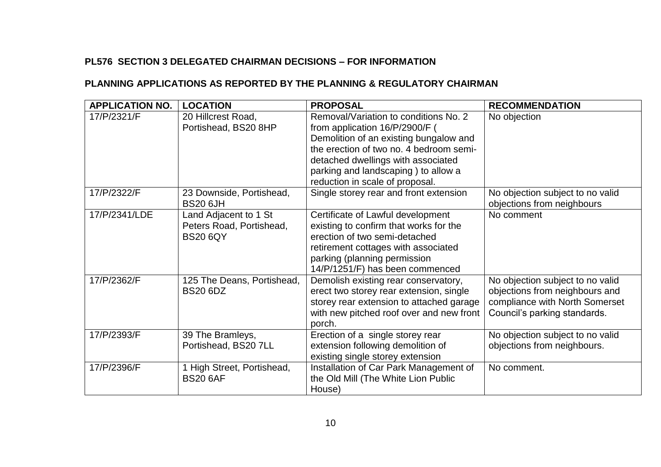## **PL576 SECTION 3 DELEGATED CHAIRMAN DECISIONS – FOR INFORMATION**

## **PLANNING APPLICATIONS AS REPORTED BY THE PLANNING & REGULATORY CHAIRMAN**

| <b>APPLICATION NO.</b> | <b>LOCATION</b>                                                      | <b>PROPOSAL</b>                                                                                                                                                                                                                                                              | <b>RECOMMENDATION</b>                                                                                                                |
|------------------------|----------------------------------------------------------------------|------------------------------------------------------------------------------------------------------------------------------------------------------------------------------------------------------------------------------------------------------------------------------|--------------------------------------------------------------------------------------------------------------------------------------|
| 17/P/2321/F            | 20 Hillcrest Road,<br>Portishead, BS20 8HP                           | Removal/Variation to conditions No. 2<br>from application 16/P/2900/F (<br>Demolition of an existing bungalow and<br>the erection of two no. 4 bedroom semi-<br>detached dwellings with associated<br>parking and landscaping) to allow a<br>reduction in scale of proposal. | No objection                                                                                                                         |
| 17/P/2322/F            | 23 Downside, Portishead,<br><b>BS20 6JH</b>                          | Single storey rear and front extension                                                                                                                                                                                                                                       | No objection subject to no valid<br>objections from neighbours                                                                       |
| 17/P/2341/LDE          | Land Adjacent to 1 St<br>Peters Road, Portishead,<br><b>BS20 6QY</b> | Certificate of Lawful development<br>existing to confirm that works for the<br>erection of two semi-detached<br>retirement cottages with associated<br>parking (planning permission<br>14/P/1251/F) has been commenced                                                       | No comment                                                                                                                           |
| 17/P/2362/F            | 125 The Deans, Portishead,<br><b>BS20 6DZ</b>                        | Demolish existing rear conservatory,<br>erect two storey rear extension, single<br>storey rear extension to attached garage<br>with new pitched roof over and new front<br>porch.                                                                                            | No objection subject to no valid<br>objections from neighbours and<br>compliance with North Somerset<br>Council's parking standards. |
| 17/P/2393/F            | 39 The Bramleys,<br>Portishead, BS20 7LL                             | Erection of a single storey rear<br>extension following demolition of<br>existing single storey extension                                                                                                                                                                    | No objection subject to no valid<br>objections from neighbours.                                                                      |
| 17/P/2396/F            | 1 High Street, Portishead,<br><b>BS20 6AF</b>                        | Installation of Car Park Management of<br>the Old Mill (The White Lion Public<br>House)                                                                                                                                                                                      | No comment.                                                                                                                          |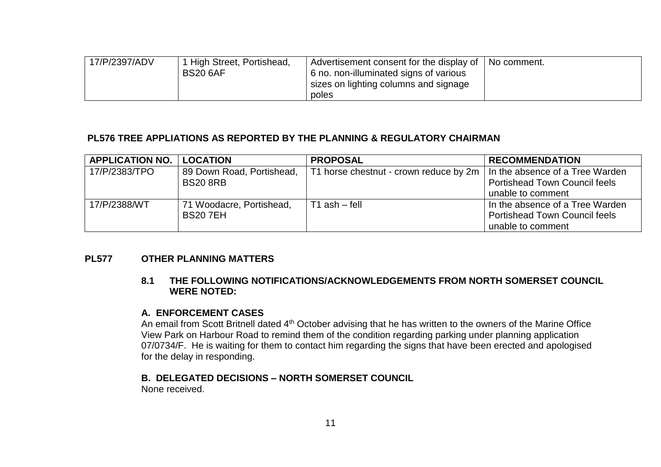| 17/P/2397/ADV | High Street, Portishead,<br><b>BS20 6AF</b> | Advertisement consent for the display of  <br>6 no. non-illuminated signs of various<br>sizes on lighting columns and signage | No comment. |
|---------------|---------------------------------------------|-------------------------------------------------------------------------------------------------------------------------------|-------------|
|               |                                             | poles                                                                                                                         |             |

#### **PL576 TREE APPLIATIONS AS REPORTED BY THE PLANNING & REGULATORY CHAIRMAN**

| <b>APPLICATION NO.</b> | <b>LOCATION</b>           | <b>PROPOSAL</b>                                                                | <b>RECOMMENDATION</b>                |
|------------------------|---------------------------|--------------------------------------------------------------------------------|--------------------------------------|
| 17/P/2383/TPO          | 89 Down Road, Portishead, | T1 horse chestnut - crown reduce by 2m $\vert$ In the absence of a Tree Warden |                                      |
|                        | <b>BS20 8RB</b>           |                                                                                | <b>Portishead Town Council feels</b> |
|                        |                           |                                                                                | unable to comment                    |
| 17/P/2388/WT           | 71 Woodacre, Portishead,  | $T1$ ash $-$ fell                                                              | In the absence of a Tree Warden      |
|                        | <b>BS207EH</b>            |                                                                                | <b>Portishead Town Council feels</b> |
|                        |                           |                                                                                | unable to comment                    |

#### **PL577 OTHER PLANNING MATTERS**

#### **8.1 THE FOLLOWING NOTIFICATIONS/ACKNOWLEDGEMENTS FROM NORTH SOMERSET COUNCIL WERE NOTED:**

#### **A. ENFORCEMENT CASES**

An email from Scott Britnell dated 4th October advising that he has written to the owners of the Marine Office View Park on Harbour Road to remind them of the condition regarding parking under planning application 07/0734/F. He is waiting for them to contact him regarding the signs that have been erected and apologised for the delay in responding.

# **B. DELEGATED DECISIONS – NORTH SOMERSET COUNCIL**

None received.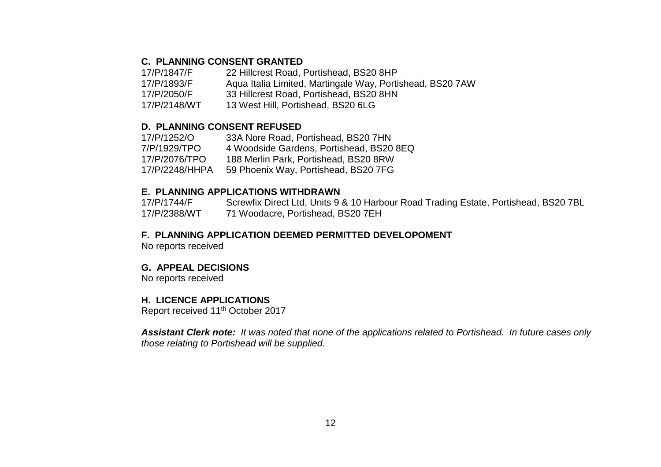#### **C. PLANNING CONSENT GRANTED**

17/P/1847/F 22 Hillcrest Road, Portishead, BS20 8HP

17/P/1893/F Aqua Italia Limited, Martingale Way, Portishead, BS20 7AW

17/P/2050/F 33 Hillcrest Road, Portishead, BS20 8HN

17/P/2148/WT 13 West Hill, Portishead, BS20 6LG

#### **D. PLANNING CONSENT REFUSED**

17/P/1252/O 33A Nore Road, Portishead, BS20 7HN 4 Woodside Gardens, Portishead, BS20 8EQ 17/P/2076/TPO 188 Merlin Park, Portishead, BS20 8RW 17/P/2248/HHPA 59 Phoenix Way, Portishead, BS20 7FG

#### **E. PLANNING APPLICATIONS WITHDRAWN**

17/P/1744/F Screwfix Direct Ltd, Units 9 & 10 Harbour Road Trading Estate, Portishead, BS20 7BL 17/P/2388/WT 71 Woodacre, Portishead, BS20 7EH

#### **F. PLANNING APPLICATION DEEMED PERMITTED DEVELOPOMENT**

No reports received

#### **G. APPEAL DECISIONS**

No reports received

#### **H. LICENCE APPLICATIONS**

Report received 11th October 2017

*Assistant Clerk note: It was noted that none of the applications related to Portishead. In future cases only those relating to Portishead will be supplied.*